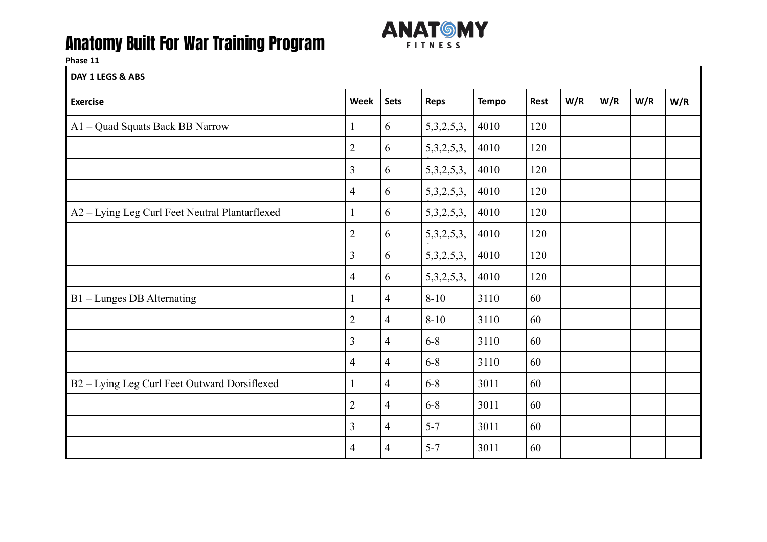

**Phase 11**

**DAY 1 LEGS & ABS** 

| <b>Exercise</b>                                | Week           | <b>Sets</b>    | <b>Reps</b>    | <b>Tempo</b> | Rest | W/R | W/R | W/R | W/R |
|------------------------------------------------|----------------|----------------|----------------|--------------|------|-----|-----|-----|-----|
| A1 - Quad Squats Back BB Narrow                | 1              | 6              | 5,3,2,5,3,     | 4010         | 120  |     |     |     |     |
|                                                | $\overline{2}$ | 6              | 5,3,2,5,3,     | 4010         | 120  |     |     |     |     |
|                                                | 3              | 6              | 5,3,2,5,3,     | 4010         | 120  |     |     |     |     |
|                                                | $\overline{4}$ | 6              | 5,3,2,5,3,     | 4010         | 120  |     |     |     |     |
| A2 - Lying Leg Curl Feet Neutral Plantarflexed | $\mathbf{1}$   | 6              | 5,3,2,5,3,     | 4010         | 120  |     |     |     |     |
|                                                | $\overline{2}$ | 6              | 5,3,2,5,3,     | 4010         | 120  |     |     |     |     |
|                                                | $\overline{3}$ | 6              | 5,3,2,5,3,     | 4010         | 120  |     |     |     |     |
|                                                | $\overline{4}$ | 6              | 5, 3, 2, 5, 3, | 4010         | 120  |     |     |     |     |
| B1 - Lunges DB Alternating                     | 1              | $\overline{4}$ | $8 - 10$       | 3110         | 60   |     |     |     |     |
|                                                | $\overline{2}$ | $\overline{4}$ | $8 - 10$       | 3110         | 60   |     |     |     |     |
|                                                | 3              | 4              | $6 - 8$        | 3110         | 60   |     |     |     |     |
|                                                | $\overline{4}$ | $\overline{4}$ | $6 - 8$        | 3110         | 60   |     |     |     |     |
| B2 - Lying Leg Curl Feet Outward Dorsiflexed   | $\mathbf{1}$   | $\overline{4}$ | $6 - 8$        | 3011         | 60   |     |     |     |     |
|                                                | $\overline{2}$ | $\overline{4}$ | $6 - 8$        | 3011         | 60   |     |     |     |     |
|                                                | 3              | 4              | $5 - 7$        | 3011         | 60   |     |     |     |     |
|                                                | 4              | 4              | $5 - 7$        | 3011         | 60   |     |     |     |     |
|                                                |                |                |                |              |      |     |     |     |     |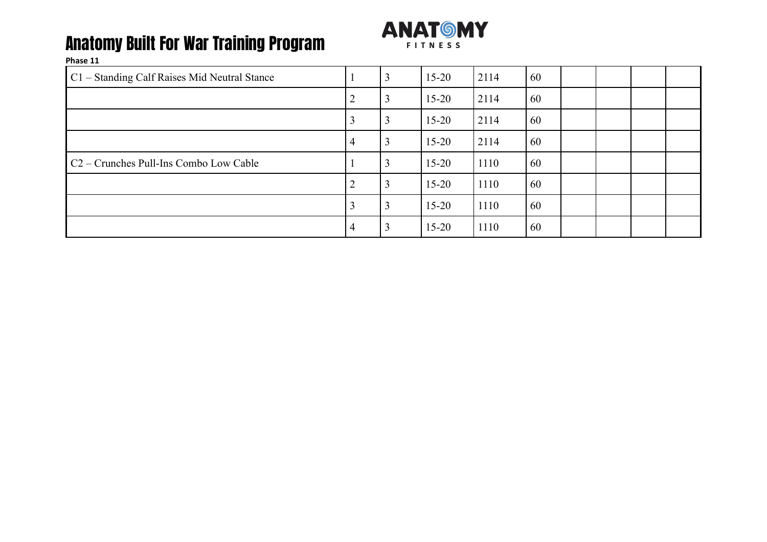

| C1 - Standing Calf Raises Mid Neutral Stance       |                 | 3              | $15 - 20$ | 2114 | 60 |  |  |
|----------------------------------------------------|-----------------|----------------|-----------|------|----|--|--|
|                                                    | $\overline{2}$  | $\overline{3}$ | $15 - 20$ | 2114 | 60 |  |  |
|                                                    | 3               | 3              | $15 - 20$ | 2114 | 60 |  |  |
|                                                    | $\vert 4 \vert$ | 3              | $15 - 20$ | 2114 | 60 |  |  |
| C <sub>2</sub> – Crunches Pull-Ins Combo Low Cable |                 | $\overline{3}$ | $15 - 20$ | 1110 | 60 |  |  |
|                                                    | 2               | 3              | $15 - 20$ | 1110 | 60 |  |  |
|                                                    | 3               | 3              | $15 - 20$ | 1110 | 60 |  |  |
|                                                    | 4               | $\overline{3}$ | $15 - 20$ | 1110 | 60 |  |  |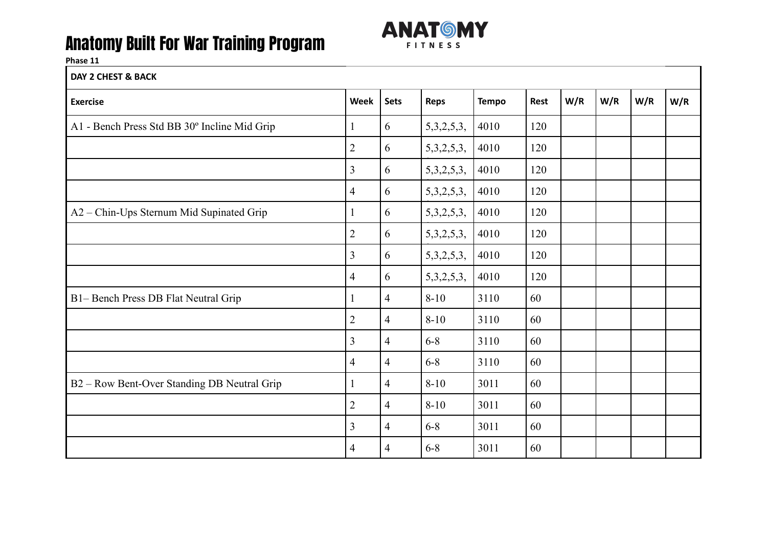

#### **Phase 11**

**DAY 2 CHEST & BACK**

| <b>Exercise</b>                              | <b>Week</b>    | <b>Sets</b>    | <b>Reps</b> | <b>Tempo</b> | <b>Rest</b> | W/R | W/R | W/R | W/R |
|----------------------------------------------|----------------|----------------|-------------|--------------|-------------|-----|-----|-----|-----|
| A1 - Bench Press Std BB 30° Incline Mid Grip | $\mathbf{1}$   | 6              | 5,3,2,5,3,  | 4010         | 120         |     |     |     |     |
|                                              | $\overline{2}$ | 6              | 5,3,2,5,3,  | 4010         | 120         |     |     |     |     |
|                                              | $\overline{3}$ | 6              | 5,3,2,5,3,  | 4010         | 120         |     |     |     |     |
|                                              | $\overline{4}$ | 6              | 5,3,2,5,3,  | 4010         | 120         |     |     |     |     |
| A2 - Chin-Ups Sternum Mid Supinated Grip     | $\mathbf{1}$   | 6              | 5,3,2,5,3,  | 4010         | 120         |     |     |     |     |
|                                              | $\overline{2}$ | 6              | 5,3,2,5,3,  | 4010         | 120         |     |     |     |     |
|                                              | $\overline{3}$ | 6              | 5,3,2,5,3,  | 4010         | 120         |     |     |     |     |
|                                              | $\overline{4}$ | 6              | 5,3,2,5,3,  | 4010         | 120         |     |     |     |     |
| B1- Bench Press DB Flat Neutral Grip         | $\mathbf{1}$   | $\overline{4}$ | $8 - 10$    | 3110         | 60          |     |     |     |     |
|                                              | $\overline{2}$ | 4              | $8 - 10$    | 3110         | 60          |     |     |     |     |
|                                              | 3              | $\overline{4}$ | $6 - 8$     | 3110         | 60          |     |     |     |     |
|                                              | $\overline{4}$ | $\overline{4}$ | $6 - 8$     | 3110         | 60          |     |     |     |     |
| B2 - Row Bent-Over Standing DB Neutral Grip  | $\mathbf{1}$   | $\overline{4}$ | $8 - 10$    | 3011         | 60          |     |     |     |     |
|                                              | $\overline{2}$ | $\overline{4}$ | $8 - 10$    | 3011         | 60          |     |     |     |     |
|                                              | 3              | $\overline{4}$ | $6 - 8$     | 3011         | 60          |     |     |     |     |
|                                              | 4              | $\overline{4}$ | $6 - 8$     | 3011         | 60          |     |     |     |     |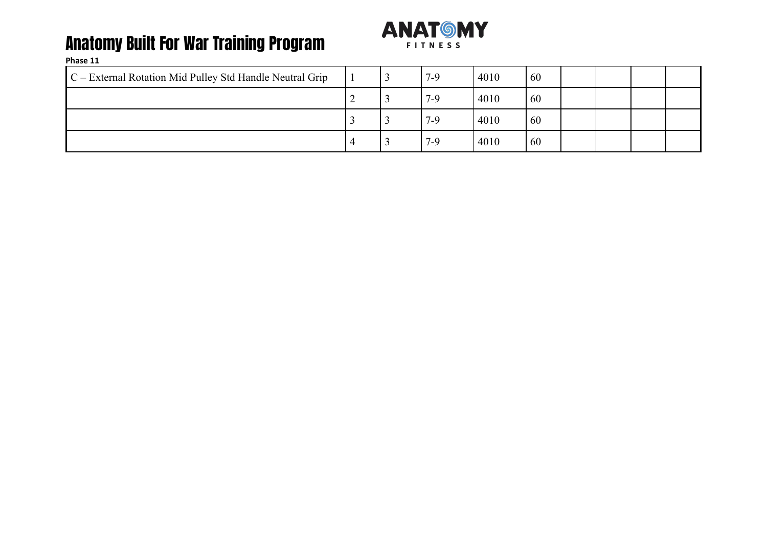

| $C$ – External Rotation Mid Pulley Std Handle Neutral Grip |   | <u>ر.</u> | $7-9$ | 4010 | 60 |  |  |
|------------------------------------------------------------|---|-----------|-------|------|----|--|--|
|                                                            | - | ر_        | $7-9$ | 4010 | 60 |  |  |
|                                                            |   |           | 7-9   | 4010 | 60 |  |  |
|                                                            |   |           | 7-9   | 4010 | 60 |  |  |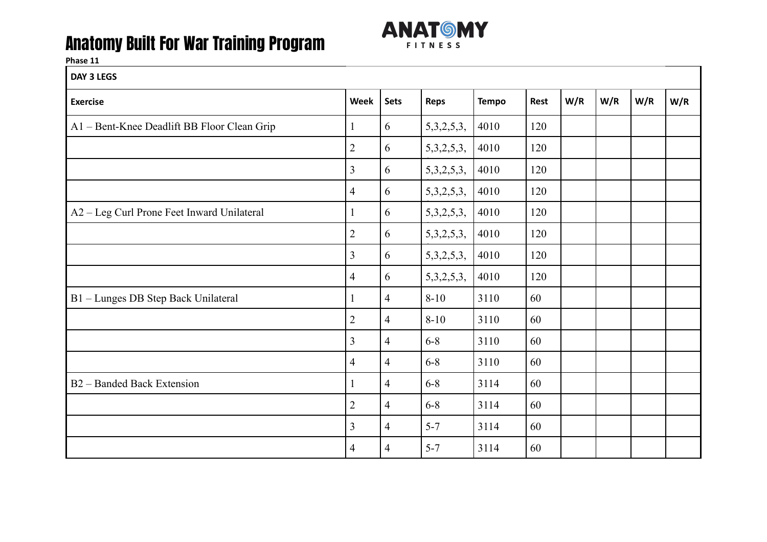

| DAY 3 LEGS                                  |                |                |                |              |      |     |     |     |     |
|---------------------------------------------|----------------|----------------|----------------|--------------|------|-----|-----|-----|-----|
| <b>Exercise</b>                             | Week           | <b>Sets</b>    | Reps           | <b>Tempo</b> | Rest | W/R | W/R | W/R | W/R |
| A1 - Bent-Knee Deadlift BB Floor Clean Grip | $\mathbf{1}$   | 6              | 5,3,2,5,3,     | 4010         | 120  |     |     |     |     |
|                                             | $\overline{2}$ | 6              | 5,3,2,5,3,     | 4010         | 120  |     |     |     |     |
|                                             | $\overline{3}$ | 6              | 5, 3, 2, 5, 3, | 4010         | 120  |     |     |     |     |
|                                             | 4              | 6              | 5,3,2,5,3,     | 4010         | 120  |     |     |     |     |
| A2 - Leg Curl Prone Feet Inward Unilateral  | $\mathbf{1}$   | 6              | 5,3,2,5,3,     | 4010         | 120  |     |     |     |     |
|                                             | $\overline{2}$ | 6              | 5,3,2,5,3,     | 4010         | 120  |     |     |     |     |
|                                             | $\overline{3}$ | 6              | 5,3,2,5,3,     | 4010         | 120  |     |     |     |     |
|                                             | 4              | 6              | 5, 3, 2, 5, 3, | 4010         | 120  |     |     |     |     |
| B1 - Lunges DB Step Back Unilateral         | $\mathbf{1}$   | $\overline{4}$ | $8 - 10$       | 3110         | 60   |     |     |     |     |
|                                             | $\overline{2}$ | $\overline{4}$ | $8 - 10$       | 3110         | 60   |     |     |     |     |
|                                             | $\overline{3}$ | $\overline{4}$ | $6 - 8$        | 3110         | 60   |     |     |     |     |
|                                             | 4              | $\overline{4}$ | $6 - 8$        | 3110         | 60   |     |     |     |     |
| B2 - Banded Back Extension                  | $\mathbf{1}$   | 4              | $6 - 8$        | 3114         | 60   |     |     |     |     |
|                                             | $\overline{2}$ | 4              | $6 - 8$        | 3114         | 60   |     |     |     |     |
|                                             | $\overline{3}$ | $\overline{4}$ | $5 - 7$        | 3114         | 60   |     |     |     |     |
|                                             | 4              | $\overline{4}$ | $5 - 7$        | 3114         | 60   |     |     |     |     |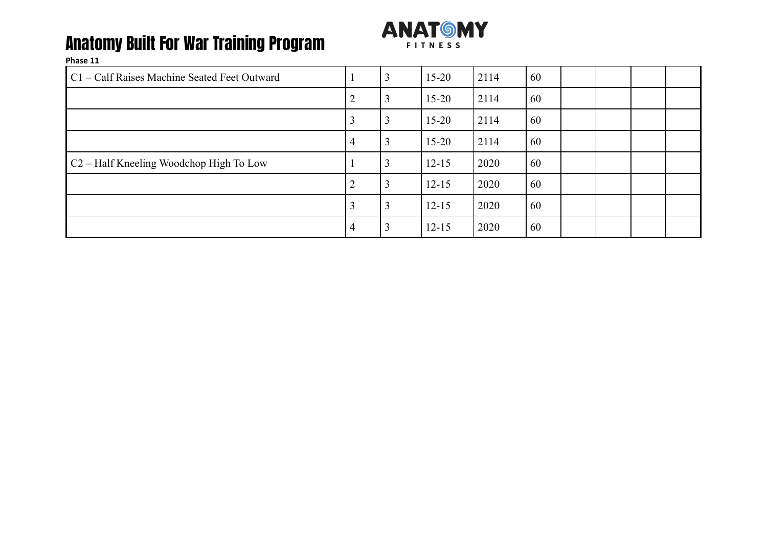

| C1 – Calf Raises Machine Seated Feet Outward        |                | 3 | $15 - 20$ | 2114 | 60 |  |  |
|-----------------------------------------------------|----------------|---|-----------|------|----|--|--|
|                                                     | ∠              | 3 | $15 - 20$ | 2114 | 60 |  |  |
|                                                     |                |   | $15 - 20$ | 2114 | 60 |  |  |
|                                                     | $\overline{4}$ | 3 | $15 - 20$ | 2114 | 60 |  |  |
| C <sub>2</sub> – Half Kneeling Woodchop High To Low |                | 3 | $12 - 15$ | 2020 | 60 |  |  |
|                                                     | ∍              | 3 | $12 - 15$ | 2020 | 60 |  |  |
|                                                     |                | 3 | $12 - 15$ | 2020 | 60 |  |  |
|                                                     | 4              | 3 | $12 - 15$ | 2020 | 60 |  |  |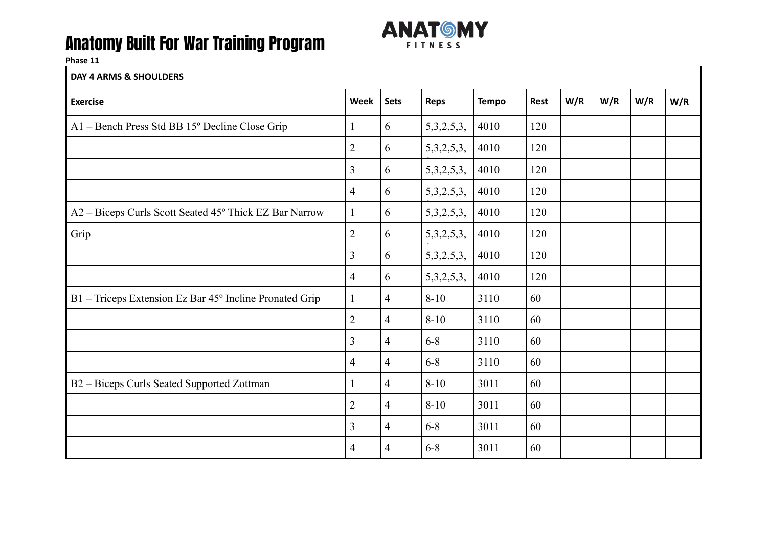

#### **Phase 11**

#### **DAY 4 ARMS & SHOULDERS**

| <b>Exercise</b>                                         | <b>Week</b>    | <b>Sets</b>    | <b>Reps</b>    | <b>Tempo</b> | Rest | W/R | W/R | W/R | W/R |
|---------------------------------------------------------|----------------|----------------|----------------|--------------|------|-----|-----|-----|-----|
| A1 - Bench Press Std BB 15° Decline Close Grip          | $\mathbf{1}$   | 6              | 5,3,2,5,3,     | 4010         | 120  |     |     |     |     |
|                                                         | $\overline{2}$ | 6              | 5,3,2,5,3,     | 4010         | 120  |     |     |     |     |
|                                                         | 3              | 6              | 5,3,2,5,3,     | 4010         | 120  |     |     |     |     |
|                                                         | 4              | 6              | 5,3,2,5,3,     | 4010         | 120  |     |     |     |     |
| A2 - Biceps Curls Scott Seated 45° Thick EZ Bar Narrow  | $\mathbf{1}$   | 6              | 5, 3, 2, 5, 3, | 4010         | 120  |     |     |     |     |
| Grip                                                    | $\overline{2}$ | 6              | 5,3,2,5,3,     | 4010         | 120  |     |     |     |     |
|                                                         | $\overline{3}$ | 6              | 5,3,2,5,3,     | 4010         | 120  |     |     |     |     |
|                                                         | 4              | 6              | 5,3,2,5,3,     | 4010         | 120  |     |     |     |     |
| B1 – Triceps Extension Ez Bar 45° Incline Pronated Grip | $\mathbf{1}$   | $\overline{4}$ | $8 - 10$       | 3110         | 60   |     |     |     |     |
|                                                         | $\overline{2}$ | 4              | $8 - 10$       | 3110         | 60   |     |     |     |     |
|                                                         | 3              | $\overline{4}$ | $6 - 8$        | 3110         | 60   |     |     |     |     |
|                                                         | 4              | $\overline{4}$ | $6 - 8$        | 3110         | 60   |     |     |     |     |
| B2 - Biceps Curls Seated Supported Zottman              | $\mathbf{1}$   | $\overline{4}$ | $8 - 10$       | 3011         | 60   |     |     |     |     |
|                                                         | $\overline{2}$ | $\overline{4}$ | $8 - 10$       | 3011         | 60   |     |     |     |     |
|                                                         | 3              | 4              | $6 - 8$        | 3011         | 60   |     |     |     |     |
|                                                         | 4              | 4              | $6 - 8$        | 3011         | 60   |     |     |     |     |